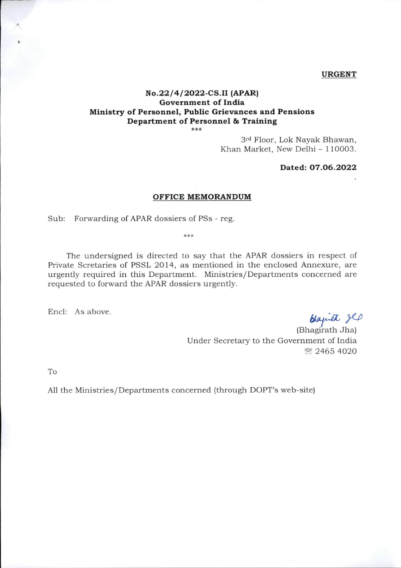## URGENT

## N0.22/4/2022-CS.II (APAR) Government of India Ministry of Personnel, Public Grievances and Pensions Department of Personnel & Training<br>\*\*\*

3rd Floor, Lok Nayak Bhawan, Khan Market, New Delhi - 110003.

## Dated: 07.06.2022

## OFFICE MEMORANDUM

Sub: Forwarding of APAR dossiers of PSs - reg.

 $***$ 

The undersigned is directed to say that the APAR dossiers in respect of Private Scretaries of PSSL 2014, as mentioned in the enclosed Annexure, are urgently required in this Department. Ministries/Departments concerned are requested to forward the APAR dossiers urgently.

Encl: As above.

blaquet glp

(Bhagirath Jha) Under Secretary to the Government of India ® 2465 4020

To

All the Ministries/Departments concerned (through DOPT's web-site)